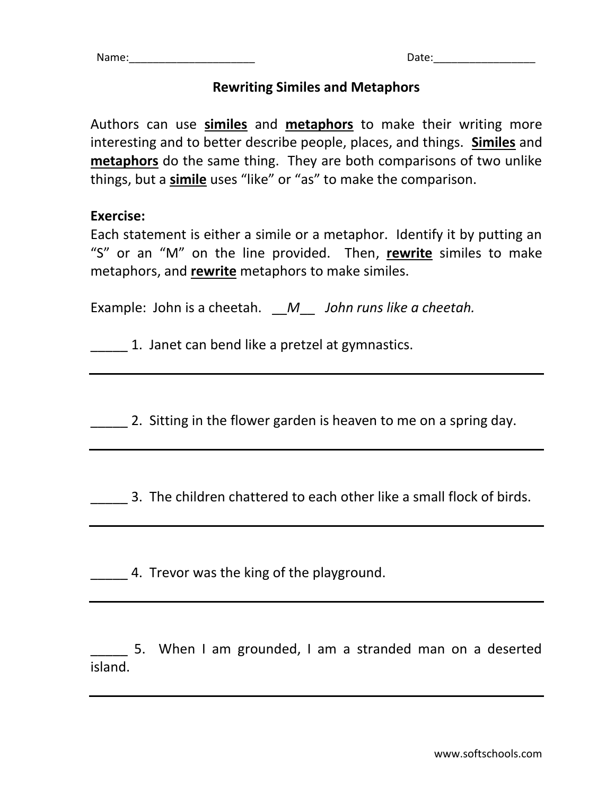## **Rewriting Similes and Metaphors**

Authors can use **similes** and **metaphors** to make their writing more interesting and to better describe people, places, and things. **Similes** and **metaphors** do the same thing. They are both comparisons of two unlike things, but a **simile** uses "like" or "as" to make the comparison.

## **Exercise:**

Each statement is either a simile or a metaphor. Identify it by putting an "S" or an "M" on the line provided. Then, **rewrite** similes to make metaphors, and **rewrite** metaphors to make similes.

Example: John is a cheetah. \_\_*M*\_\_ *John runs like a cheetah.*

\_\_\_\_\_ 1. Janet can bend like a pretzel at gymnastics.

2. Sitting in the flower garden is heaven to me on a spring day.

\_\_\_\_\_ 3. The children chattered to each other like a small flock of birds.

4. Trevor was the king of the playground.

5. When I am grounded, I am a stranded man on a deserted island.